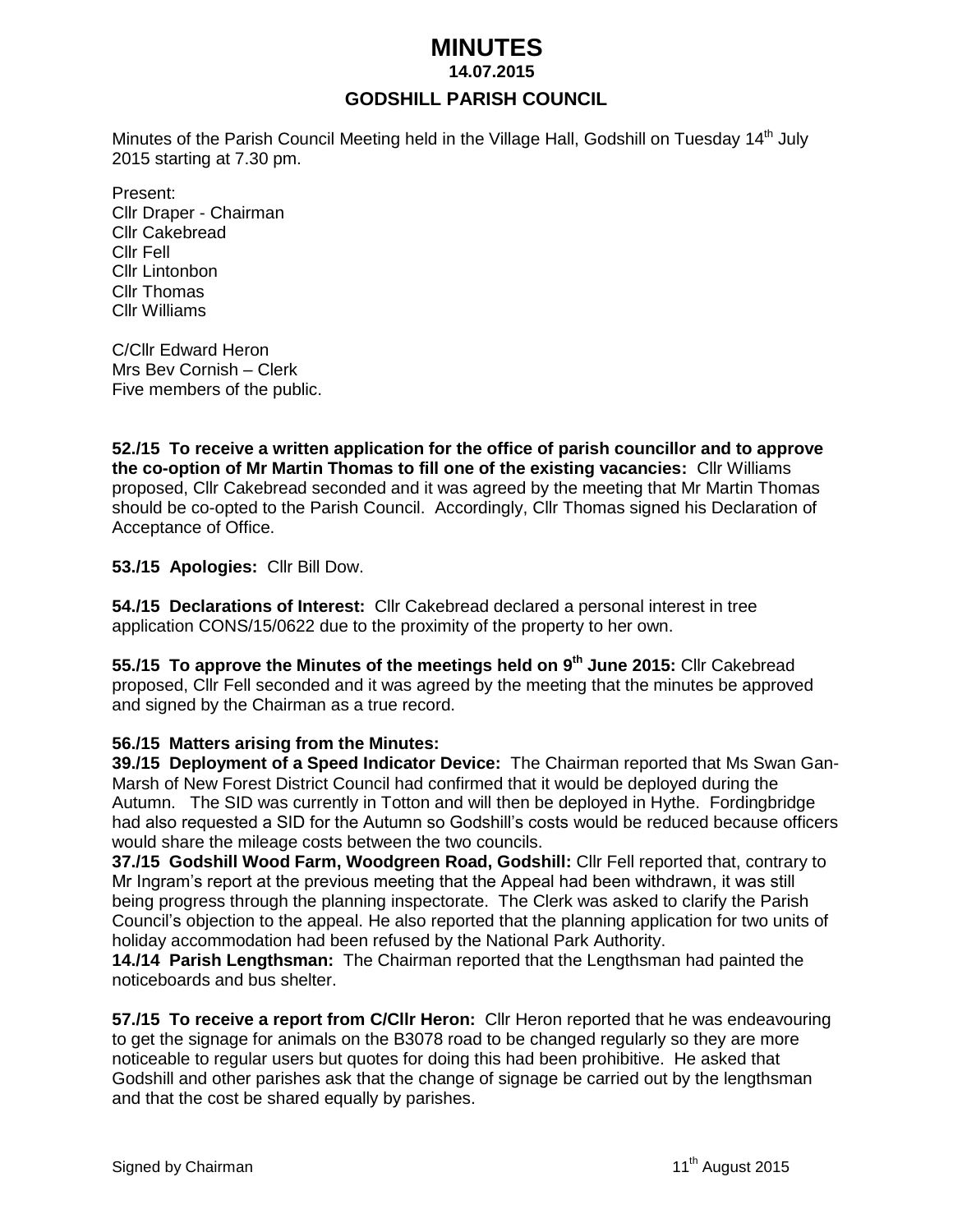# *MINUTES*

 **14.07.2015**

# **GODSHILL PARISH COUNCIL**

Minutes of the Parish Council Meeting held in the Village Hall, Godshill on Tuesday 14<sup>th</sup> July 2015 starting at 7.30 pm.

Present: Cllr Draper - Chairman Cllr Cakebread Cllr Fell Cllr Lintonbon Cllr Thomas Cllr Williams

C/Cllr Edward Heron Mrs Bev Cornish – Clerk Five members of the public.

**52./15 To receive a written application for the office of parish councillor and to approve the co-option of Mr Martin Thomas to fill one of the existing vacancies:** Cllr Williams proposed, Cllr Cakebread seconded and it was agreed by the meeting that Mr Martin Thomas should be co-opted to the Parish Council. Accordingly, Cllr Thomas signed his Declaration of Acceptance of Office.

**53./15 Apologies:** Cllr Bill Dow.

**54./15 Declarations of Interest:** Cllr Cakebread declared a personal interest in tree application CONS/15/0622 due to the proximity of the property to her own.

**55./15 To approve the Minutes of the meetings held on 9 th June 2015:** Cllr Cakebread proposed, Cllr Fell seconded and it was agreed by the meeting that the minutes be approved and signed by the Chairman as a true record.

#### **56./15 Matters arising from the Minutes:**

**39./15 Deployment of a Speed Indicator Device:** The Chairman reported that Ms Swan Gan-Marsh of New Forest District Council had confirmed that it would be deployed during the Autumn. The SID was currently in Totton and will then be deployed in Hythe. Fordingbridge had also requested a SID for the Autumn so Godshill's costs would be reduced because officers would share the mileage costs between the two councils.

**37./15 Godshill Wood Farm, Woodgreen Road, Godshill:** Cllr Fell reported that, contrary to Mr Ingram's report at the previous meeting that the Appeal had been withdrawn, it was still being progress through the planning inspectorate. The Clerk was asked to clarify the Parish Council's objection to the appeal. He also reported that the planning application for two units of holiday accommodation had been refused by the National Park Authority.

**14./14 Parish Lengthsman:** The Chairman reported that the Lengthsman had painted the noticeboards and bus shelter.

**57./15 To receive a report from C/Cllr Heron:** Cllr Heron reported that he was endeavouring to get the signage for animals on the B3078 road to be changed regularly so they are more noticeable to regular users but quotes for doing this had been prohibitive. He asked that Godshill and other parishes ask that the change of signage be carried out by the lengthsman and that the cost be shared equally by parishes.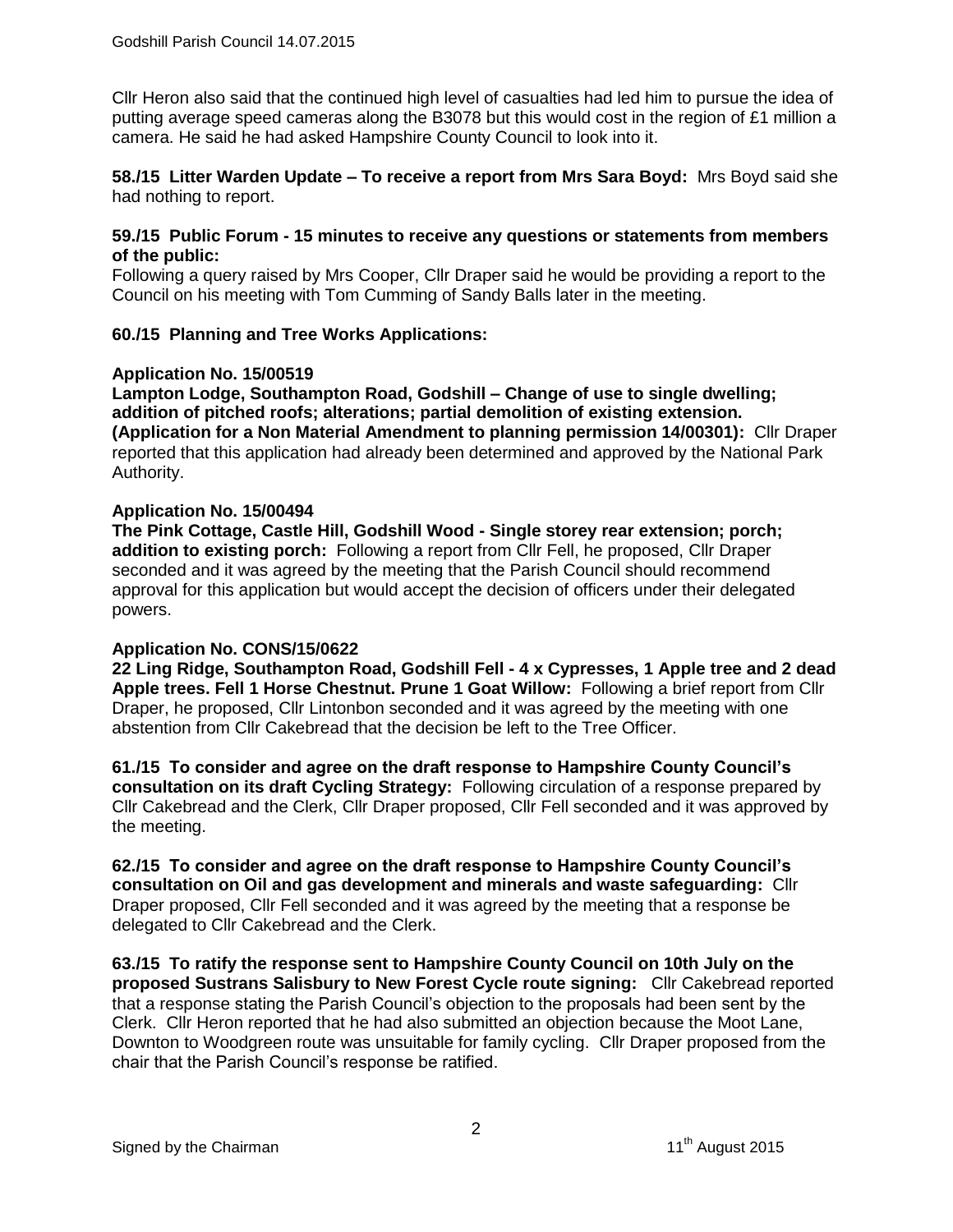Cllr Heron also said that the continued high level of casualties had led him to pursue the idea of putting average speed cameras along the B3078 but this would cost in the region of £1 million a camera. He said he had asked Hampshire County Council to look into it.

**58./15 Litter Warden Update – To receive a report from Mrs Sara Boyd:** Mrs Boyd said she had nothing to report.

#### **59./15 Public Forum - 15 minutes to receive any questions or statements from members of the public:**

Following a query raised by Mrs Cooper, Cllr Draper said he would be providing a report to the Council on his meeting with Tom Cumming of Sandy Balls later in the meeting.

## **60./15 Planning and Tree Works Applications:**

#### **Application No. 15/00519**

**Lampton Lodge, Southampton Road, Godshill – Change of use to single dwelling; addition of pitched roofs; alterations; partial demolition of existing extension. (Application for a Non Material Amendment to planning permission 14/00301):** Cllr Draper reported that this application had already been determined and approved by the National Park Authority.

#### **Application No. 15/00494**

**The Pink Cottage, Castle Hill, Godshill Wood - Single storey rear extension; porch; addition to existing porch:** Following a report from Cllr Fell, he proposed, Cllr Draper seconded and it was agreed by the meeting that the Parish Council should recommend approval for this application but would accept the decision of officers under their delegated powers.

#### **Application No. CONS/15/0622**

**22 Ling Ridge, Southampton Road, Godshill Fell - 4 x Cypresses, 1 Apple tree and 2 dead Apple trees. Fell 1 Horse Chestnut. Prune 1 Goat Willow:** Following a brief report from Cllr Draper, he proposed, Cllr Lintonbon seconded and it was agreed by the meeting with one abstention from Cllr Cakebread that the decision be left to the Tree Officer.

**61./15 To consider and agree on the draft response to Hampshire County Council's consultation on its draft Cycling Strategy:** Following circulation of a response prepared by Cllr Cakebread and the Clerk, Cllr Draper proposed, Cllr Fell seconded and it was approved by the meeting.

**62./15 To consider and agree on the draft response to Hampshire County Council's consultation on Oil and gas development and minerals and waste safeguarding:** Cllr Draper proposed, Cllr Fell seconded and it was agreed by the meeting that a response be delegated to Cllr Cakebread and the Clerk.

**63./15 To ratify the response sent to Hampshire County Council on 10th July on the proposed Sustrans Salisbury to New Forest Cycle route signing:** Cllr Cakebread reported that a response stating the Parish Council's objection to the proposals had been sent by the Clerk. Cllr Heron reported that he had also submitted an objection because the Moot Lane, Downton to Woodgreen route was unsuitable for family cycling. Cllr Draper proposed from the chair that the Parish Council's response be ratified.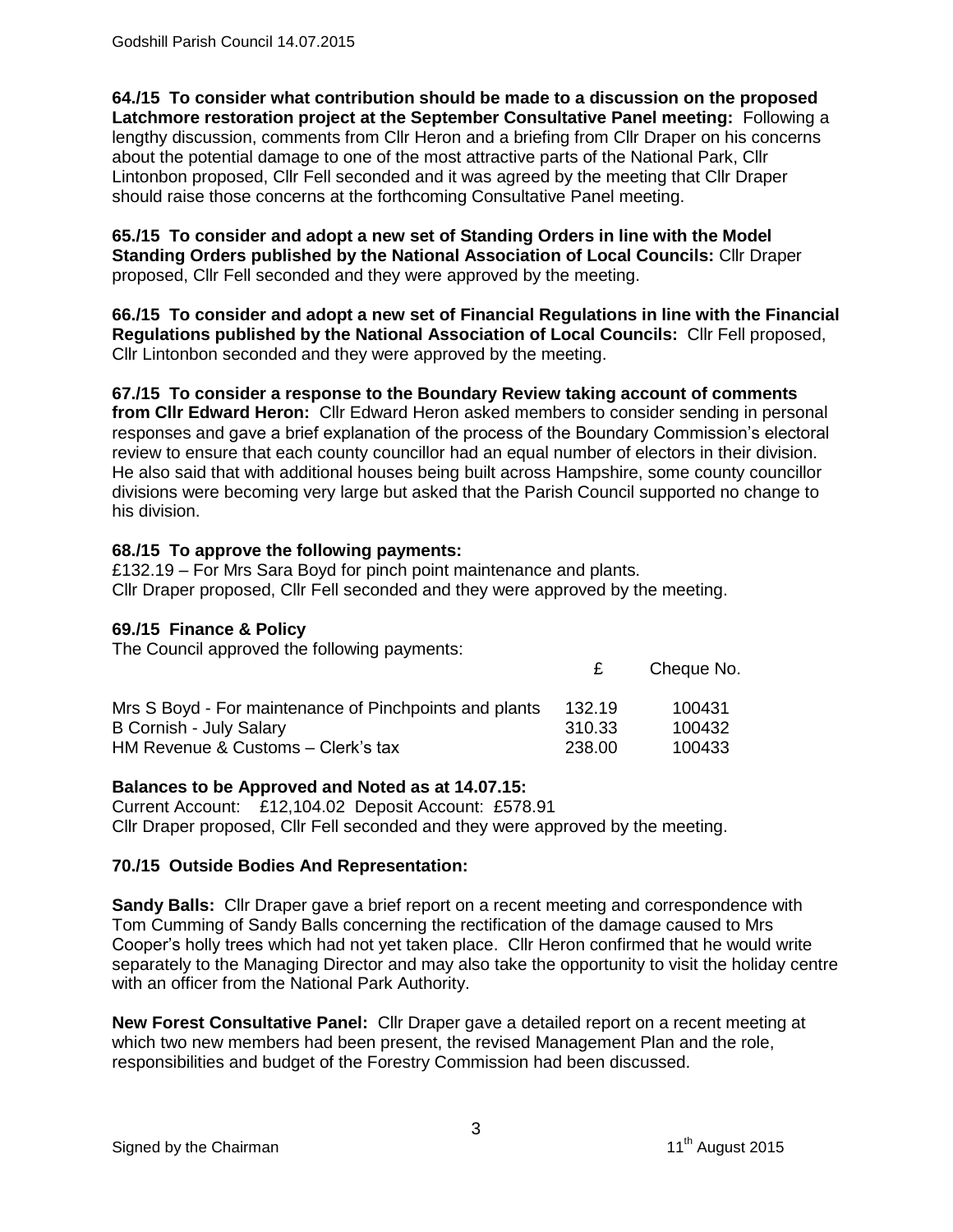**64./15 To consider what contribution should be made to a discussion on the proposed Latchmore restoration project at the September Consultative Panel meeting:** Following a lengthy discussion, comments from Cllr Heron and a briefing from Cllr Draper on his concerns about the potential damage to one of the most attractive parts of the National Park, Cllr Lintonbon proposed, Cllr Fell seconded and it was agreed by the meeting that Cllr Draper should raise those concerns at the forthcoming Consultative Panel meeting.

**65./15 To consider and adopt a new set of Standing Orders in line with the Model Standing Orders published by the National Association of Local Councils:** Cllr Draper proposed, Cllr Fell seconded and they were approved by the meeting.

**66./15 To consider and adopt a new set of Financial Regulations in line with the Financial Regulations published by the National Association of Local Councils:** Cllr Fell proposed, Cllr Lintonbon seconded and they were approved by the meeting.

**67./15 To consider a response to the Boundary Review taking account of comments from Cllr Edward Heron:** Cllr Edward Heron asked members to consider sending in personal responses and gave a brief explanation of the process of the Boundary Commission's electoral review to ensure that each county councillor had an equal number of electors in their division. He also said that with additional houses being built across Hampshire, some county councillor divisions were becoming very large but asked that the Parish Council supported no change to his division.

## **68./15 To approve the following payments:**

£132.19 – For Mrs Sara Boyd for pinch point maintenance and plants. Cllr Draper proposed, Cllr Fell seconded and they were approved by the meeting.

## **69./15 Finance & Policy**

The Council approved the following payments:

| Mrs S Boyd - For maintenance of Pinchpoints and plants | 132.19 | 100431 |
|--------------------------------------------------------|--------|--------|
| B Cornish - July Salary                                | 310.33 | 100432 |
| HM Revenue & Customs - Clerk's tax                     | 238.00 | 100433 |

# **Balances to be Approved and Noted as at 14.07.15:**

Current Account: £12,104.02 Deposit Account: £578.91 Cllr Draper proposed, Cllr Fell seconded and they were approved by the meeting.

# **70./15 Outside Bodies And Representation:**

**Sandy Balls:** Cllr Draper gave a brief report on a recent meeting and correspondence with Tom Cumming of Sandy Balls concerning the rectification of the damage caused to Mrs Cooper's holly trees which had not yet taken place. Cllr Heron confirmed that he would write separately to the Managing Director and may also take the opportunity to visit the holiday centre with an officer from the National Park Authority.

**New Forest Consultative Panel:** Cllr Draper gave a detailed report on a recent meeting at which two new members had been present, the revised Management Plan and the role, responsibilities and budget of the Forestry Commission had been discussed.

£ Cheque No.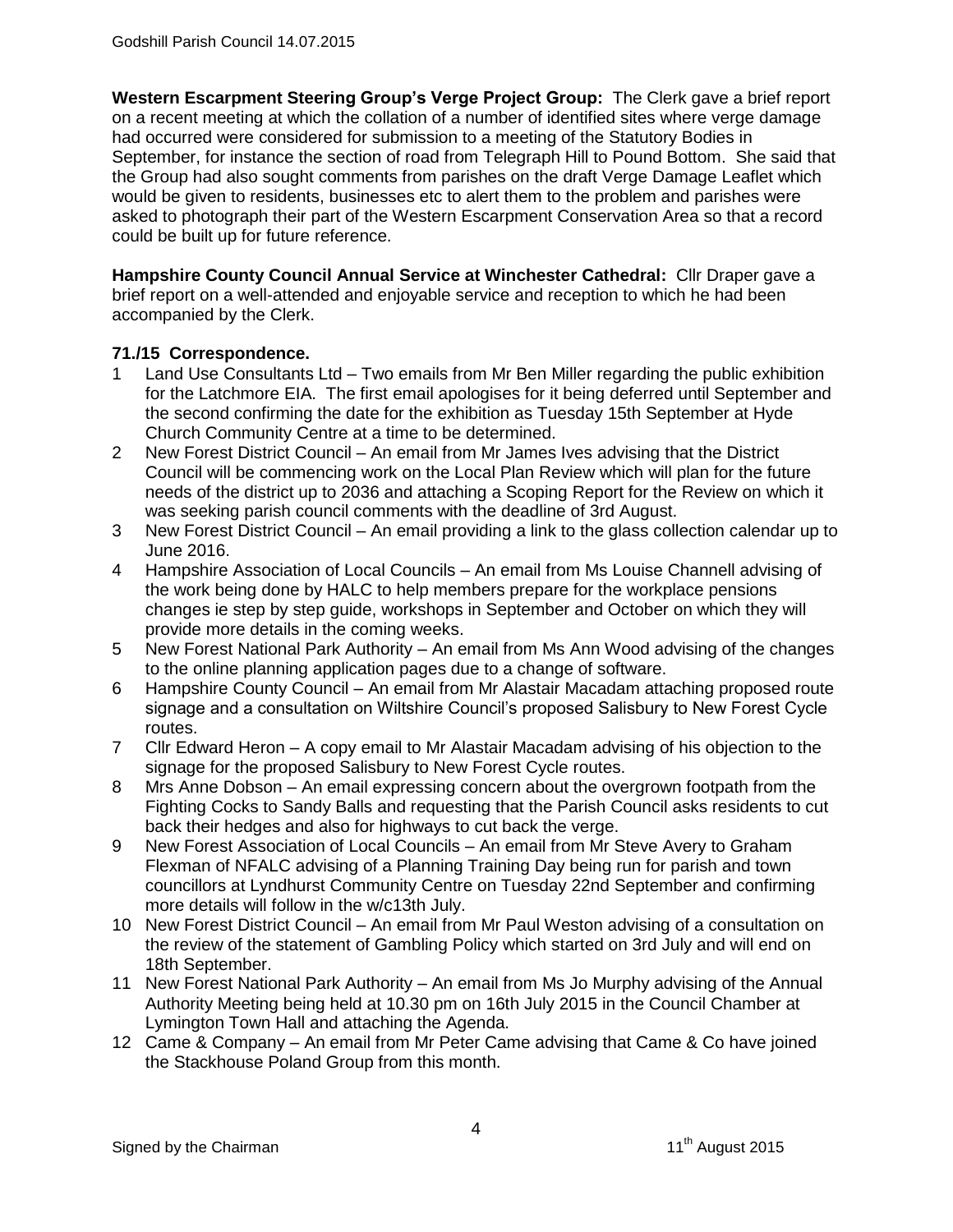**Western Escarpment Steering Group's Verge Project Group:** The Clerk gave a brief report on a recent meeting at which the collation of a number of identified sites where verge damage had occurred were considered for submission to a meeting of the Statutory Bodies in September, for instance the section of road from Telegraph Hill to Pound Bottom. She said that the Group had also sought comments from parishes on the draft Verge Damage Leaflet which would be given to residents, businesses etc to alert them to the problem and parishes were asked to photograph their part of the Western Escarpment Conservation Area so that a record could be built up for future reference.

**Hampshire County Council Annual Service at Winchester Cathedral:** Cllr Draper gave a brief report on a well-attended and enjoyable service and reception to which he had been accompanied by the Clerk.

## **71./15 Correspondence.**

- 1 Land Use Consultants Ltd Two emails from Mr Ben Miller regarding the public exhibition for the Latchmore EIA. The first email apologises for it being deferred until September and the second confirming the date for the exhibition as Tuesday 15th September at Hyde Church Community Centre at a time to be determined.
- 2 New Forest District Council An email from Mr James Ives advising that the District Council will be commencing work on the Local Plan Review which will plan for the future needs of the district up to 2036 and attaching a Scoping Report for the Review on which it was seeking parish council comments with the deadline of 3rd August.
- 3 New Forest District Council An email providing a link to the glass collection calendar up to June 2016.
- 4 Hampshire Association of Local Councils An email from Ms Louise Channell advising of the work being done by HALC to help members prepare for the workplace pensions changes ie step by step guide, workshops in September and October on which they will provide more details in the coming weeks.
- 5 New Forest National Park Authority An email from Ms Ann Wood advising of the changes to the online planning application pages due to a change of software.
- 6 Hampshire County Council An email from Mr Alastair Macadam attaching proposed route signage and a consultation on Wiltshire Council's proposed Salisbury to New Forest Cycle routes.
- 7 Cllr Edward Heron A copy email to Mr Alastair Macadam advising of his objection to the signage for the proposed Salisbury to New Forest Cycle routes.
- 8 Mrs Anne Dobson An email expressing concern about the overgrown footpath from the Fighting Cocks to Sandy Balls and requesting that the Parish Council asks residents to cut back their hedges and also for highways to cut back the verge.
- 9 New Forest Association of Local Councils An email from Mr Steve Avery to Graham Flexman of NFALC advising of a Planning Training Day being run for parish and town councillors at Lyndhurst Community Centre on Tuesday 22nd September and confirming more details will follow in the w/c13th July.
- 10 New Forest District Council An email from Mr Paul Weston advising of a consultation on the review of the statement of Gambling Policy which started on 3rd July and will end on 18th September.
- 11 New Forest National Park Authority An email from Ms Jo Murphy advising of the Annual Authority Meeting being held at 10.30 pm on 16th July 2015 in the Council Chamber at Lymington Town Hall and attaching the Agenda.
- 12 Came & Company An email from Mr Peter Came advising that Came & Co have joined the Stackhouse Poland Group from this month.